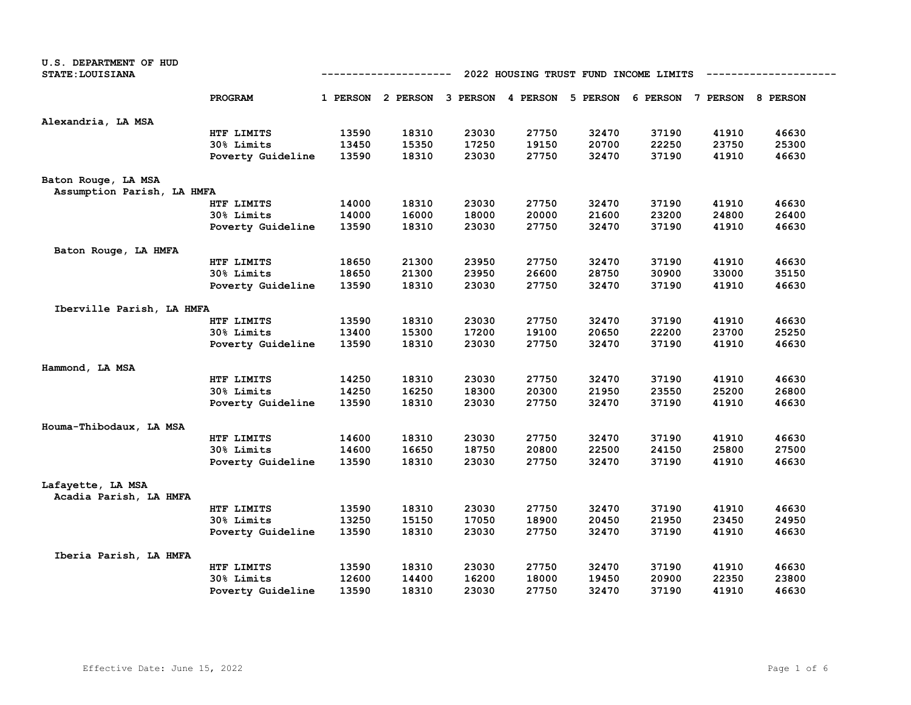| U.S. DEPARTMENT OF HUD     |                   |                                                      |                                     |       |       |       |                                     |       |       |  |  |
|----------------------------|-------------------|------------------------------------------------------|-------------------------------------|-------|-------|-------|-------------------------------------|-------|-------|--|--|
| <b>STATE: LOUISIANA</b>    |                   | 2022 HOUSING TRUST FUND INCOME LIMITS<br>----------- |                                     |       |       |       |                                     |       |       |  |  |
|                            | PROGRAM           |                                                      | 1 PERSON 2 PERSON 3 PERSON 4 PERSON |       |       |       | 5 PERSON 6 PERSON 7 PERSON 8 PERSON |       |       |  |  |
|                            |                   |                                                      |                                     |       |       |       |                                     |       |       |  |  |
| Alexandria, LA MSA         |                   |                                                      |                                     |       |       |       |                                     |       |       |  |  |
|                            | HTF LIMITS        | 13590                                                | 18310                               | 23030 | 27750 | 32470 | 37190                               | 41910 | 46630 |  |  |
|                            | 30% Limits        | 13450                                                | 15350                               | 17250 | 19150 | 20700 | 22250                               | 23750 | 25300 |  |  |
|                            | Poverty Guideline | 13590                                                | 18310                               | 23030 | 27750 | 32470 | 37190                               | 41910 | 46630 |  |  |
| Baton Rouge, LA MSA        |                   |                                                      |                                     |       |       |       |                                     |       |       |  |  |
| Assumption Parish, LA HMFA |                   |                                                      |                                     |       |       |       |                                     |       |       |  |  |
|                            | HTF LIMITS        | 14000                                                | 18310                               | 23030 | 27750 | 32470 | 37190                               | 41910 | 46630 |  |  |
|                            | 30% Limits        | 14000                                                | 16000                               | 18000 | 20000 | 21600 | 23200                               | 24800 | 26400 |  |  |
|                            | Poverty Guideline | 13590                                                | 18310                               | 23030 | 27750 | 32470 | 37190                               | 41910 | 46630 |  |  |
| Baton Rouge, LA HMFA       |                   |                                                      |                                     |       |       |       |                                     |       |       |  |  |
|                            | HTF LIMITS        | 18650                                                | 21300                               | 23950 | 27750 | 32470 | 37190                               | 41910 | 46630 |  |  |
|                            | 30% Limits        | 18650                                                | 21300                               | 23950 | 26600 | 28750 | 30900                               | 33000 | 35150 |  |  |
|                            | Poverty Guideline | 13590                                                | 18310                               | 23030 | 27750 | 32470 | 37190                               | 41910 | 46630 |  |  |
| Iberville Parish, LA HMFA  |                   |                                                      |                                     |       |       |       |                                     |       |       |  |  |
|                            | HTF LIMITS        | 13590                                                | 18310                               | 23030 | 27750 | 32470 | 37190                               | 41910 | 46630 |  |  |
|                            | 30% Limits        | 13400                                                | 15300                               | 17200 | 19100 | 20650 | 22200                               | 23700 | 25250 |  |  |
|                            | Poverty Guideline | 13590                                                | 18310                               | 23030 | 27750 | 32470 | 37190                               | 41910 | 46630 |  |  |
| Hammond, LA MSA            |                   |                                                      |                                     |       |       |       |                                     |       |       |  |  |
|                            | HTF LIMITS        | 14250                                                | 18310                               | 23030 | 27750 | 32470 | 37190                               | 41910 | 46630 |  |  |
|                            | 30% Limits        | 14250                                                | 16250                               | 18300 | 20300 | 21950 | 23550                               | 25200 | 26800 |  |  |
|                            | Poverty Guideline | 13590                                                | 18310                               | 23030 | 27750 | 32470 | 37190                               | 41910 | 46630 |  |  |
| Houma-Thibodaux, LA MSA    |                   |                                                      |                                     |       |       |       |                                     |       |       |  |  |
|                            | HTF LIMITS        | 14600                                                | 18310                               | 23030 | 27750 | 32470 | 37190                               | 41910 | 46630 |  |  |
|                            | 30% Limits        | 14600                                                | 16650                               | 18750 | 20800 | 22500 | 24150                               | 25800 | 27500 |  |  |
|                            | Poverty Guideline | 13590                                                | 18310                               | 23030 | 27750 | 32470 | 37190                               | 41910 | 46630 |  |  |
| Lafayette, LA MSA          |                   |                                                      |                                     |       |       |       |                                     |       |       |  |  |
| Acadia Parish, LA HMFA     |                   |                                                      |                                     |       |       |       |                                     |       |       |  |  |
|                            | HTF LIMITS        | 13590                                                | 18310                               | 23030 | 27750 | 32470 | 37190                               | 41910 | 46630 |  |  |
|                            | 30% Limits        | 13250                                                | 15150                               | 17050 | 18900 | 20450 | 21950                               | 23450 | 24950 |  |  |
|                            | Poverty Guideline | 13590                                                | 18310                               | 23030 | 27750 | 32470 | 37190                               | 41910 | 46630 |  |  |
| Iberia Parish, LA HMFA     |                   |                                                      |                                     |       |       |       |                                     |       |       |  |  |
|                            | HTF LIMITS        | 13590                                                | 18310                               | 23030 | 27750 | 32470 | 37190                               | 41910 | 46630 |  |  |
|                            | 30% Limits        | 12600                                                | 14400                               | 16200 | 18000 | 19450 | 20900                               | 22350 | 23800 |  |  |
|                            | Poverty Guideline | 13590                                                | 18310                               | 23030 | 27750 | 32470 | 37190                               | 41910 | 46630 |  |  |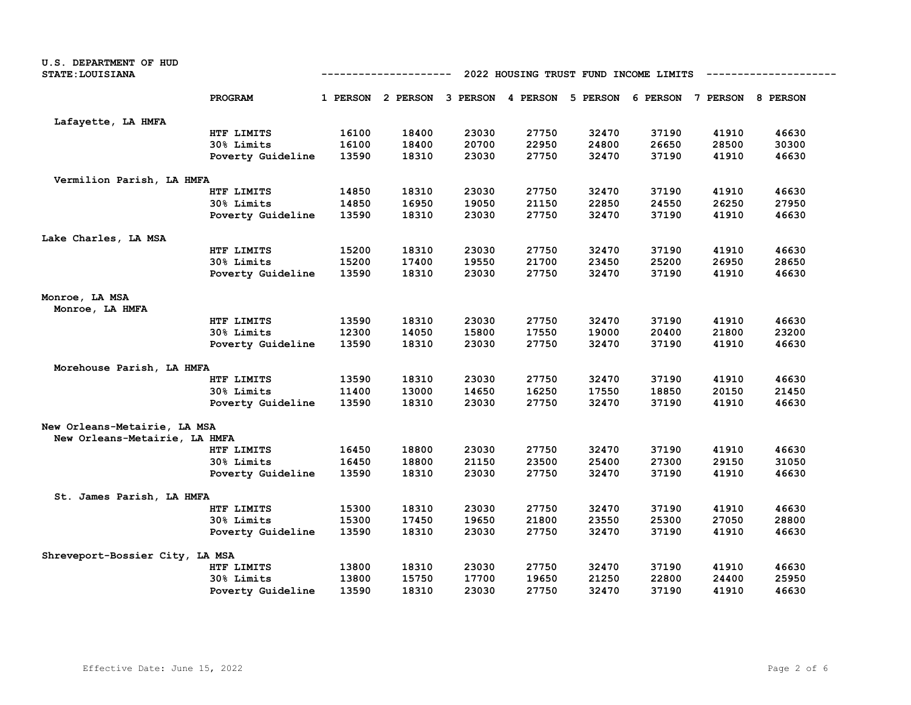| <b>U.S. DEPARTMENT OF HUD</b>     |                   |       |       |                                       |                                     |          |       |                            |       |  |
|-----------------------------------|-------------------|-------|-------|---------------------------------------|-------------------------------------|----------|-------|----------------------------|-------|--|
| <b>STATE: LOUISIANA</b>           |                   |       |       | 2022 HOUSING TRUST FUND INCOME LIMITS |                                     |          |       |                            |       |  |
|                                   | PROGRAM           |       |       |                                       | 1 PERSON 2 PERSON 3 PERSON 4 PERSON | 5 PERSON |       | 6 PERSON 7 PERSON 8 PERSON |       |  |
| Lafayette, LA HMFA                |                   |       |       |                                       |                                     |          |       |                            |       |  |
|                                   | HTF LIMITS        | 16100 | 18400 | 23030                                 | 27750                               | 32470    | 37190 | 41910                      | 46630 |  |
|                                   | 30% Limits        | 16100 | 18400 | 20700                                 | 22950                               | 24800    | 26650 | 28500                      | 30300 |  |
|                                   | Poverty Guideline | 13590 | 18310 | 23030                                 | 27750                               | 32470    | 37190 | 41910                      | 46630 |  |
| Vermilion Parish, LA HMFA         |                   |       |       |                                       |                                     |          |       |                            |       |  |
|                                   | HTF LIMITS        | 14850 | 18310 | 23030                                 | 27750                               | 32470    | 37190 | 41910                      | 46630 |  |
|                                   | 30% Limits        | 14850 | 16950 | 19050                                 | 21150                               | 22850    | 24550 | 26250                      | 27950 |  |
|                                   | Poverty Guideline | 13590 | 18310 | 23030                                 | 27750                               | 32470    | 37190 | 41910                      | 46630 |  |
| Lake Charles, LA MSA              |                   |       |       |                                       |                                     |          |       |                            |       |  |
|                                   | HTF LIMITS        | 15200 | 18310 | 23030                                 | 27750                               | 32470    | 37190 | 41910                      | 46630 |  |
|                                   | 30% Limits        | 15200 | 17400 | 19550                                 | 21700                               | 23450    | 25200 | 26950                      | 28650 |  |
|                                   | Poverty Guideline | 13590 | 18310 | 23030                                 | 27750                               | 32470    | 37190 | 41910                      | 46630 |  |
| Monroe, LA MSA<br>Monroe, LA HMFA |                   |       |       |                                       |                                     |          |       |                            |       |  |
|                                   | HTF LIMITS        | 13590 | 18310 | 23030                                 | 27750                               | 32470    | 37190 | 41910                      | 46630 |  |
|                                   | 30% Limits        | 12300 | 14050 | 15800                                 | 17550                               | 19000    | 20400 | 21800                      | 23200 |  |
|                                   | Poverty Guideline | 13590 | 18310 | 23030                                 | 27750                               | 32470    | 37190 | 41910                      | 46630 |  |
| Morehouse Parish, LA HMFA         |                   |       |       |                                       |                                     |          |       |                            |       |  |
|                                   | HTF LIMITS        | 13590 | 18310 | 23030                                 | 27750                               | 32470    | 37190 | 41910                      | 46630 |  |
|                                   | 30% Limits        | 11400 | 13000 | 14650                                 | 16250                               | 17550    | 18850 | 20150                      | 21450 |  |
|                                   | Poverty Guideline | 13590 | 18310 | 23030                                 | 27750                               | 32470    | 37190 | 41910                      | 46630 |  |
| New Orleans-Metairie, LA MSA      |                   |       |       |                                       |                                     |          |       |                            |       |  |
| New Orleans-Metairie, LA HMFA     |                   |       |       |                                       |                                     |          |       |                            |       |  |
|                                   | HTF LIMITS        | 16450 | 18800 | 23030                                 | 27750                               | 32470    | 37190 | 41910                      | 46630 |  |
|                                   | 30% Limits        | 16450 | 18800 | 21150                                 | 23500                               | 25400    | 27300 | 29150                      | 31050 |  |
|                                   | Poverty Guideline | 13590 | 18310 | 23030                                 | 27750                               | 32470    | 37190 | 41910                      | 46630 |  |
| St. James Parish, LA HMFA         |                   |       |       |                                       |                                     |          |       |                            |       |  |
|                                   | HTF LIMITS        | 15300 | 18310 | 23030                                 | 27750                               | 32470    | 37190 | 41910                      | 46630 |  |
|                                   | 30% Limits        | 15300 | 17450 | 19650                                 | 21800                               | 23550    | 25300 | 27050                      | 28800 |  |
|                                   | Poverty Guideline | 13590 | 18310 | 23030                                 | 27750                               | 32470    | 37190 | 41910                      | 46630 |  |
| Shreveport-Bossier City, LA MSA   |                   |       |       |                                       |                                     |          |       |                            |       |  |
|                                   | HTF LIMITS        | 13800 | 18310 | 23030                                 | 27750                               | 32470    | 37190 | 41910                      | 46630 |  |
|                                   | 30% Limits        | 13800 | 15750 | 17700                                 | 19650                               | 21250    | 22800 | 24400                      | 25950 |  |
|                                   | Poverty Guideline | 13590 | 18310 | 23030                                 | 27750                               | 32470    | 37190 | 41910                      | 46630 |  |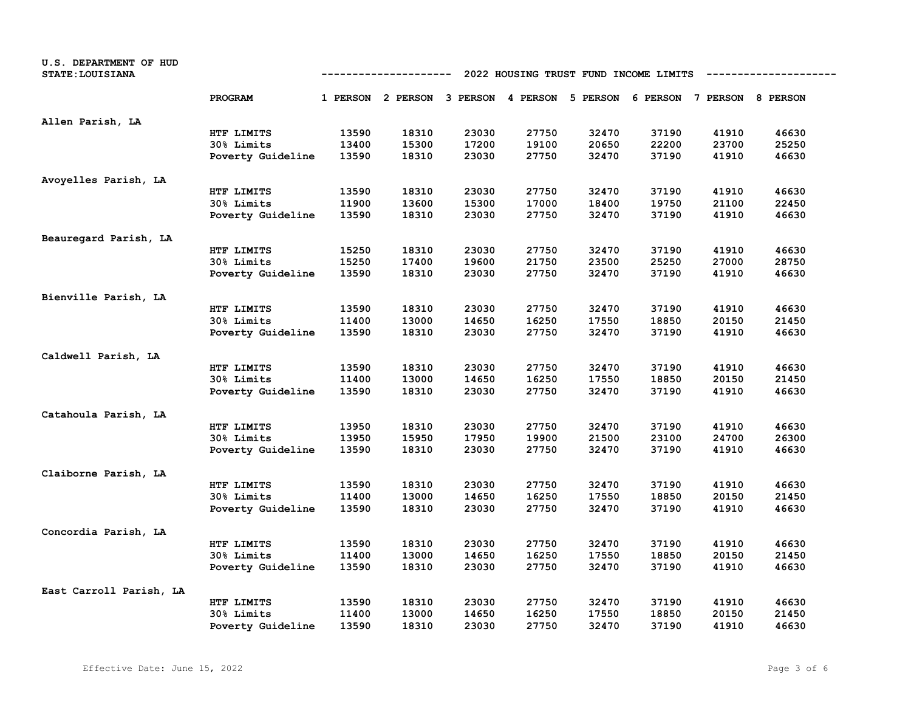| U.S. DEPARTMENT OF HUD<br><b>STATE: LOUISIANA</b> | 2022 HOUSING TRUST FUND INCOME LIMITS<br>----------- |       |                                              |       |       |       |       |                            |       |
|---------------------------------------------------|------------------------------------------------------|-------|----------------------------------------------|-------|-------|-------|-------|----------------------------|-------|
|                                                   | PROGRAM                                              |       | 1 PERSON 2 PERSON 3 PERSON 4 PERSON 5 PERSON |       |       |       |       | 6 PERSON 7 PERSON 8 PERSON |       |
| Allen Parish, LA                                  |                                                      |       |                                              |       |       |       |       |                            |       |
|                                                   | HTF LIMITS                                           | 13590 | 18310                                        | 23030 | 27750 | 32470 | 37190 | 41910                      | 46630 |
|                                                   | 30% Limits                                           | 13400 | 15300                                        | 17200 | 19100 | 20650 | 22200 | 23700                      | 25250 |
|                                                   | Poverty Guideline                                    | 13590 | 18310                                        | 23030 | 27750 | 32470 | 37190 | 41910                      | 46630 |
| Avoyelles Parish, LA                              |                                                      |       |                                              |       |       |       |       |                            |       |
|                                                   | HTF LIMITS                                           | 13590 | 18310                                        | 23030 | 27750 | 32470 | 37190 | 41910                      | 46630 |
|                                                   | 30% Limits                                           | 11900 | 13600                                        | 15300 | 17000 | 18400 | 19750 | 21100                      | 22450 |
|                                                   | Poverty Guideline                                    | 13590 | 18310                                        | 23030 | 27750 | 32470 | 37190 | 41910                      | 46630 |
| Beauregard Parish, LA                             |                                                      |       |                                              |       |       |       |       |                            |       |
|                                                   | HTF LIMITS                                           | 15250 | 18310                                        | 23030 | 27750 | 32470 | 37190 | 41910                      | 46630 |
|                                                   | 30% Limits                                           | 15250 | 17400                                        | 19600 | 21750 | 23500 | 25250 | 27000                      | 28750 |
|                                                   | Poverty Guideline                                    | 13590 | 18310                                        | 23030 | 27750 | 32470 | 37190 | 41910                      | 46630 |
| Bienville Parish, LA                              |                                                      |       |                                              |       |       |       |       |                            |       |
|                                                   | HTF LIMITS                                           | 13590 | 18310                                        | 23030 | 27750 | 32470 | 37190 | 41910                      | 46630 |
|                                                   | 30% Limits                                           | 11400 | 13000                                        | 14650 | 16250 | 17550 | 18850 | 20150                      | 21450 |
|                                                   | Poverty Guideline                                    | 13590 | 18310                                        | 23030 | 27750 | 32470 | 37190 | 41910                      | 46630 |
| Caldwell Parish, LA                               |                                                      |       |                                              |       |       |       |       |                            |       |
|                                                   | HTF LIMITS                                           | 13590 | 18310                                        | 23030 | 27750 | 32470 | 37190 | 41910                      | 46630 |
|                                                   | 30% Limits                                           | 11400 | 13000                                        | 14650 | 16250 | 17550 | 18850 | 20150                      | 21450 |
|                                                   | Poverty Guideline                                    | 13590 | 18310                                        | 23030 | 27750 | 32470 | 37190 | 41910                      | 46630 |
| Catahoula Parish, LA                              |                                                      |       |                                              |       |       |       |       |                            |       |
|                                                   | HTF LIMITS                                           | 13950 | 18310                                        | 23030 | 27750 | 32470 | 37190 | 41910                      | 46630 |
|                                                   | 30% Limits                                           | 13950 | 15950                                        | 17950 | 19900 | 21500 | 23100 | 24700                      | 26300 |
|                                                   | Poverty Guideline                                    | 13590 | 18310                                        | 23030 | 27750 | 32470 | 37190 | 41910                      | 46630 |
| Claiborne Parish, LA                              |                                                      |       |                                              |       |       |       |       |                            |       |
|                                                   | HTF LIMITS                                           | 13590 | 18310                                        | 23030 | 27750 | 32470 | 37190 | 41910                      | 46630 |
|                                                   | 30% Limits                                           | 11400 | 13000                                        | 14650 | 16250 | 17550 | 18850 | 20150                      | 21450 |
|                                                   | Poverty Guideline                                    | 13590 | 18310                                        | 23030 | 27750 | 32470 | 37190 | 41910                      | 46630 |
| Concordia Parish, LA                              |                                                      |       |                                              |       |       |       |       |                            |       |
|                                                   | HTF LIMITS                                           | 13590 | 18310                                        | 23030 | 27750 | 32470 | 37190 | 41910                      | 46630 |
|                                                   | 30% Limits                                           | 11400 | 13000                                        | 14650 | 16250 | 17550 | 18850 | 20150                      | 21450 |
|                                                   | Poverty Guideline                                    | 13590 | 18310                                        | 23030 | 27750 | 32470 | 37190 | 41910                      | 46630 |
| East Carroll Parish, LA                           |                                                      |       |                                              |       |       |       |       |                            |       |
|                                                   | HTF LIMITS                                           | 13590 | 18310                                        | 23030 | 27750 | 32470 | 37190 | 41910                      | 46630 |
|                                                   | 30% Limits                                           | 11400 | 13000                                        | 14650 | 16250 | 17550 | 18850 | 20150                      | 21450 |
|                                                   | Poverty Guideline                                    | 13590 | 18310                                        | 23030 | 27750 | 32470 | 37190 | 41910                      | 46630 |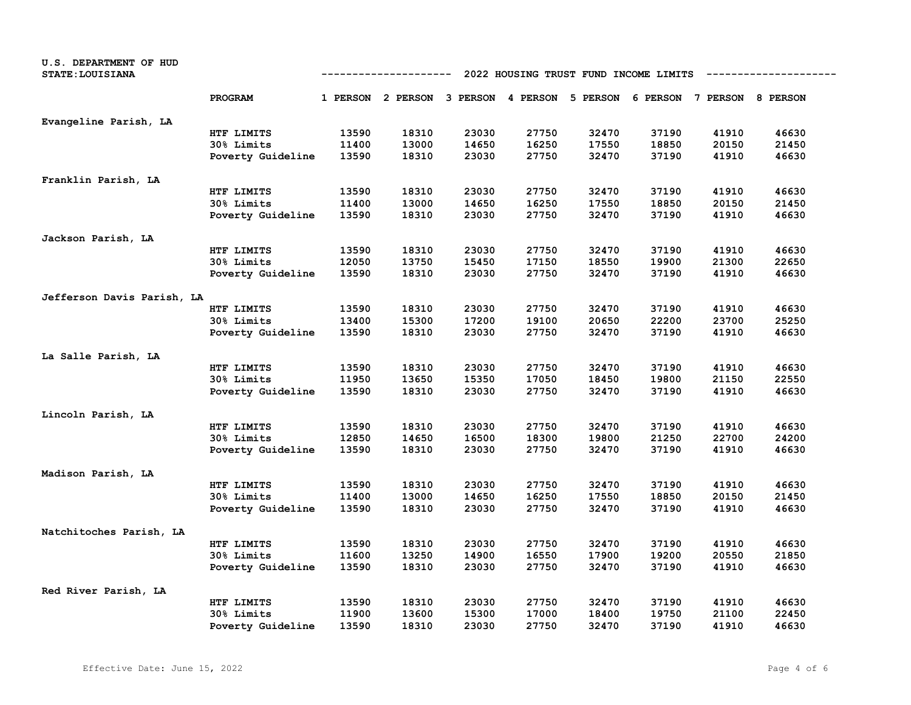| U.S. DEPARTMENT OF HUD<br><b>STATE: LOUISIANA</b> |                   | 2022 HOUSING TRUST FUND INCOME LIMITS<br>----------- |                                                                         |       |       |       |       |       |       |
|---------------------------------------------------|-------------------|------------------------------------------------------|-------------------------------------------------------------------------|-------|-------|-------|-------|-------|-------|
|                                                   | PROGRAM           |                                                      | 1 PERSON 2 PERSON 3 PERSON 4 PERSON 5 PERSON 6 PERSON 7 PERSON 8 PERSON |       |       |       |       |       |       |
| Evangeline Parish, LA                             |                   |                                                      |                                                                         |       |       |       |       |       |       |
|                                                   | HTF LIMITS        | 13590                                                | 18310                                                                   | 23030 | 27750 | 32470 | 37190 | 41910 | 46630 |
|                                                   | 30% Limits        | 11400                                                | 13000                                                                   | 14650 | 16250 | 17550 | 18850 | 20150 | 21450 |
|                                                   | Poverty Guideline | 13590                                                | 18310                                                                   | 23030 | 27750 | 32470 | 37190 | 41910 | 46630 |
| Franklin Parish, LA                               |                   |                                                      |                                                                         |       |       |       |       |       |       |
|                                                   | HTF LIMITS        | 13590                                                | 18310                                                                   | 23030 | 27750 | 32470 | 37190 | 41910 | 46630 |
|                                                   | 30% Limits        | 11400                                                | 13000                                                                   | 14650 | 16250 | 17550 | 18850 | 20150 | 21450 |
|                                                   | Poverty Guideline | 13590                                                | 18310                                                                   | 23030 | 27750 | 32470 | 37190 | 41910 | 46630 |
| Jackson Parish, LA                                |                   |                                                      |                                                                         |       |       |       |       |       |       |
|                                                   | HTF LIMITS        | 13590                                                | 18310                                                                   | 23030 | 27750 | 32470 | 37190 | 41910 | 46630 |
|                                                   | 30% Limits        | 12050                                                | 13750                                                                   | 15450 | 17150 | 18550 | 19900 | 21300 | 22650 |
|                                                   | Poverty Guideline | 13590                                                | 18310                                                                   | 23030 | 27750 | 32470 | 37190 | 41910 | 46630 |
| Jefferson Davis Parish, LA                        |                   |                                                      |                                                                         |       |       |       |       |       |       |
|                                                   | HTF LIMITS        | 13590                                                | 18310                                                                   | 23030 | 27750 | 32470 | 37190 | 41910 | 46630 |
|                                                   | 30% Limits        | 13400                                                | 15300                                                                   | 17200 | 19100 | 20650 | 22200 | 23700 | 25250 |
|                                                   | Poverty Guideline | 13590                                                | 18310                                                                   | 23030 | 27750 | 32470 | 37190 | 41910 | 46630 |
| La Salle Parish, LA                               |                   |                                                      |                                                                         |       |       |       |       |       |       |
|                                                   | HTF LIMITS        | 13590                                                | 18310                                                                   | 23030 | 27750 | 32470 | 37190 | 41910 | 46630 |
|                                                   | 30% Limits        | 11950                                                | 13650                                                                   | 15350 | 17050 | 18450 | 19800 | 21150 | 22550 |
|                                                   | Poverty Guideline | 13590                                                | 18310                                                                   | 23030 | 27750 | 32470 | 37190 | 41910 | 46630 |
| Lincoln Parish, LA                                |                   |                                                      |                                                                         |       |       |       |       |       |       |
|                                                   | HTF LIMITS        | 13590                                                | 18310                                                                   | 23030 | 27750 | 32470 | 37190 | 41910 | 46630 |
|                                                   | 30% Limits        | 12850                                                | 14650                                                                   | 16500 | 18300 | 19800 | 21250 | 22700 | 24200 |
|                                                   | Poverty Guideline | 13590                                                | 18310                                                                   | 23030 | 27750 | 32470 | 37190 | 41910 | 46630 |
| Madison Parish, LA                                |                   |                                                      |                                                                         |       |       |       |       |       |       |
|                                                   | HTF LIMITS        | 13590                                                | 18310                                                                   | 23030 | 27750 | 32470 | 37190 | 41910 | 46630 |
|                                                   | 30% Limits        | 11400                                                | 13000                                                                   | 14650 | 16250 | 17550 | 18850 | 20150 | 21450 |
|                                                   | Poverty Guideline | 13590                                                | 18310                                                                   | 23030 | 27750 | 32470 | 37190 | 41910 | 46630 |
| Natchitoches Parish, LA                           |                   |                                                      |                                                                         |       |       |       |       |       |       |
|                                                   | HTF LIMITS        | 13590                                                | 18310                                                                   | 23030 | 27750 | 32470 | 37190 | 41910 | 46630 |
|                                                   | 30% Limits        | 11600                                                | 13250                                                                   | 14900 | 16550 | 17900 | 19200 | 20550 | 21850 |
|                                                   | Poverty Guideline | 13590                                                | 18310                                                                   | 23030 | 27750 | 32470 | 37190 | 41910 | 46630 |
| Red River Parish, LA                              |                   |                                                      |                                                                         |       |       |       |       |       |       |
|                                                   | HTF LIMITS        | 13590                                                | 18310                                                                   | 23030 | 27750 | 32470 | 37190 | 41910 | 46630 |
|                                                   | 30% Limits        | 11900                                                | 13600                                                                   | 15300 | 17000 | 18400 | 19750 | 21100 | 22450 |
|                                                   | Poverty Guideline | 13590                                                | 18310                                                                   | 23030 | 27750 | 32470 | 37190 | 41910 | 46630 |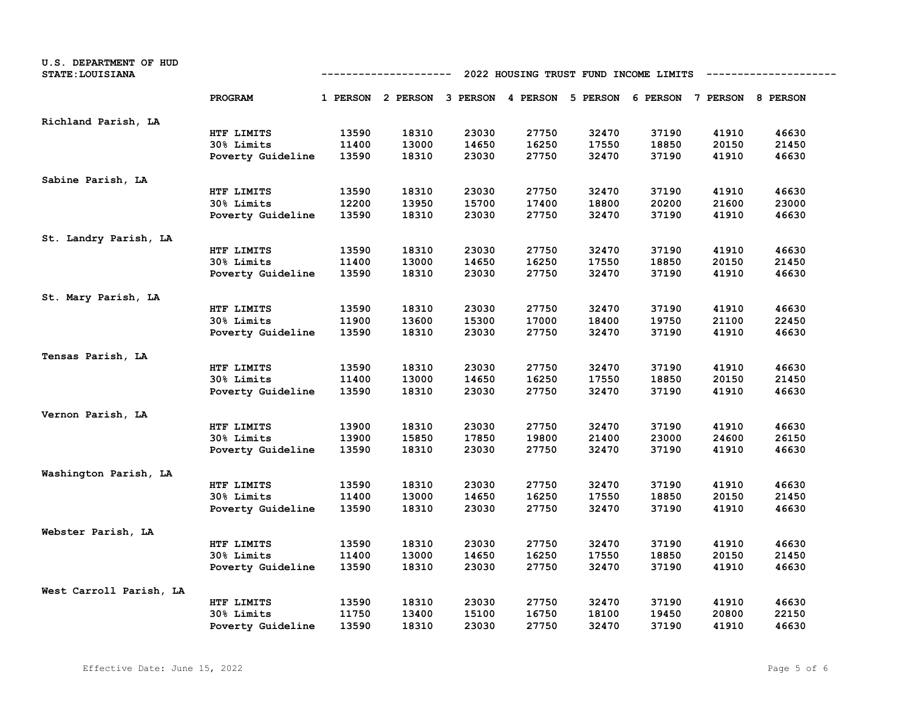| U.S. DEPARTMENT OF HUD<br><b>STATE: LOUISIANA</b> | 2022 HOUSING TRUST FUND INCOME LIMITS<br>----------- |       |                                                                         |       |       |       |       |       |       |
|---------------------------------------------------|------------------------------------------------------|-------|-------------------------------------------------------------------------|-------|-------|-------|-------|-------|-------|
|                                                   | PROGRAM                                              |       | 1 PERSON 2 PERSON 3 PERSON 4 PERSON 5 PERSON 6 PERSON 7 PERSON 8 PERSON |       |       |       |       |       |       |
| Richland Parish, LA                               |                                                      |       |                                                                         |       |       |       |       |       |       |
|                                                   | HTF LIMITS                                           | 13590 | 18310                                                                   | 23030 | 27750 | 32470 | 37190 | 41910 | 46630 |
|                                                   | 30% Limits                                           | 11400 | 13000                                                                   | 14650 | 16250 | 17550 | 18850 | 20150 | 21450 |
|                                                   | Poverty Guideline                                    | 13590 | 18310                                                                   | 23030 | 27750 | 32470 | 37190 | 41910 | 46630 |
| Sabine Parish, LA                                 |                                                      |       |                                                                         |       |       |       |       |       |       |
|                                                   | HTF LIMITS                                           | 13590 | 18310                                                                   | 23030 | 27750 | 32470 | 37190 | 41910 | 46630 |
|                                                   | 30% Limits                                           | 12200 | 13950                                                                   | 15700 | 17400 | 18800 | 20200 | 21600 | 23000 |
|                                                   | Poverty Guideline                                    | 13590 | 18310                                                                   | 23030 | 27750 | 32470 | 37190 | 41910 | 46630 |
| St. Landry Parish, LA                             |                                                      |       |                                                                         |       |       |       |       |       |       |
|                                                   | HTF LIMITS                                           | 13590 | 18310                                                                   | 23030 | 27750 | 32470 | 37190 | 41910 | 46630 |
|                                                   | 30% Limits                                           | 11400 | 13000                                                                   | 14650 | 16250 | 17550 | 18850 | 20150 | 21450 |
|                                                   | Poverty Guideline                                    | 13590 | 18310                                                                   | 23030 | 27750 | 32470 | 37190 | 41910 | 46630 |
| St. Mary Parish, LA                               |                                                      |       |                                                                         |       |       |       |       |       |       |
|                                                   | HTF LIMITS                                           | 13590 | 18310                                                                   | 23030 | 27750 | 32470 | 37190 | 41910 | 46630 |
|                                                   | 30% Limits                                           | 11900 | 13600                                                                   | 15300 | 17000 | 18400 | 19750 | 21100 | 22450 |
|                                                   | Poverty Guideline                                    | 13590 | 18310                                                                   | 23030 | 27750 | 32470 | 37190 | 41910 | 46630 |
| Tensas Parish, LA                                 |                                                      |       |                                                                         |       |       |       |       |       |       |
|                                                   | HTF LIMITS                                           | 13590 | 18310                                                                   | 23030 | 27750 | 32470 | 37190 | 41910 | 46630 |
|                                                   | 30% Limits                                           | 11400 | 13000                                                                   | 14650 | 16250 | 17550 | 18850 | 20150 | 21450 |
|                                                   | Poverty Guideline                                    | 13590 | 18310                                                                   | 23030 | 27750 | 32470 | 37190 | 41910 | 46630 |
| Vernon Parish, LA                                 |                                                      |       |                                                                         |       |       |       |       |       |       |
|                                                   | HTF LIMITS                                           | 13900 | 18310                                                                   | 23030 | 27750 | 32470 | 37190 | 41910 | 46630 |
|                                                   | 30% Limits                                           | 13900 | 15850                                                                   | 17850 | 19800 | 21400 | 23000 | 24600 | 26150 |
|                                                   | Poverty Guideline                                    | 13590 | 18310                                                                   | 23030 | 27750 | 32470 | 37190 | 41910 | 46630 |
| Washington Parish, LA                             |                                                      |       |                                                                         |       |       |       |       |       |       |
|                                                   | HTF LIMITS                                           | 13590 | 18310                                                                   | 23030 | 27750 | 32470 | 37190 | 41910 | 46630 |
|                                                   | 30% Limits                                           | 11400 | 13000                                                                   | 14650 | 16250 | 17550 | 18850 | 20150 | 21450 |
|                                                   | Poverty Guideline                                    | 13590 | 18310                                                                   | 23030 | 27750 | 32470 | 37190 | 41910 | 46630 |
| Webster Parish, LA                                |                                                      |       |                                                                         |       |       |       |       |       |       |
|                                                   | HTF LIMITS                                           | 13590 | 18310                                                                   | 23030 | 27750 | 32470 | 37190 | 41910 | 46630 |
|                                                   | 30% Limits                                           | 11400 | 13000                                                                   | 14650 | 16250 | 17550 | 18850 | 20150 | 21450 |
|                                                   | Poverty Guideline                                    | 13590 | 18310                                                                   | 23030 | 27750 | 32470 | 37190 | 41910 | 46630 |
| West Carroll Parish, LA                           |                                                      |       |                                                                         |       |       |       |       |       |       |
|                                                   | HTF LIMITS                                           | 13590 | 18310                                                                   | 23030 | 27750 | 32470 | 37190 | 41910 | 46630 |
|                                                   | 30% Limits                                           | 11750 | 13400                                                                   | 15100 | 16750 | 18100 | 19450 | 20800 | 22150 |
|                                                   | Poverty Guideline                                    | 13590 | 18310                                                                   | 23030 | 27750 | 32470 | 37190 | 41910 | 46630 |